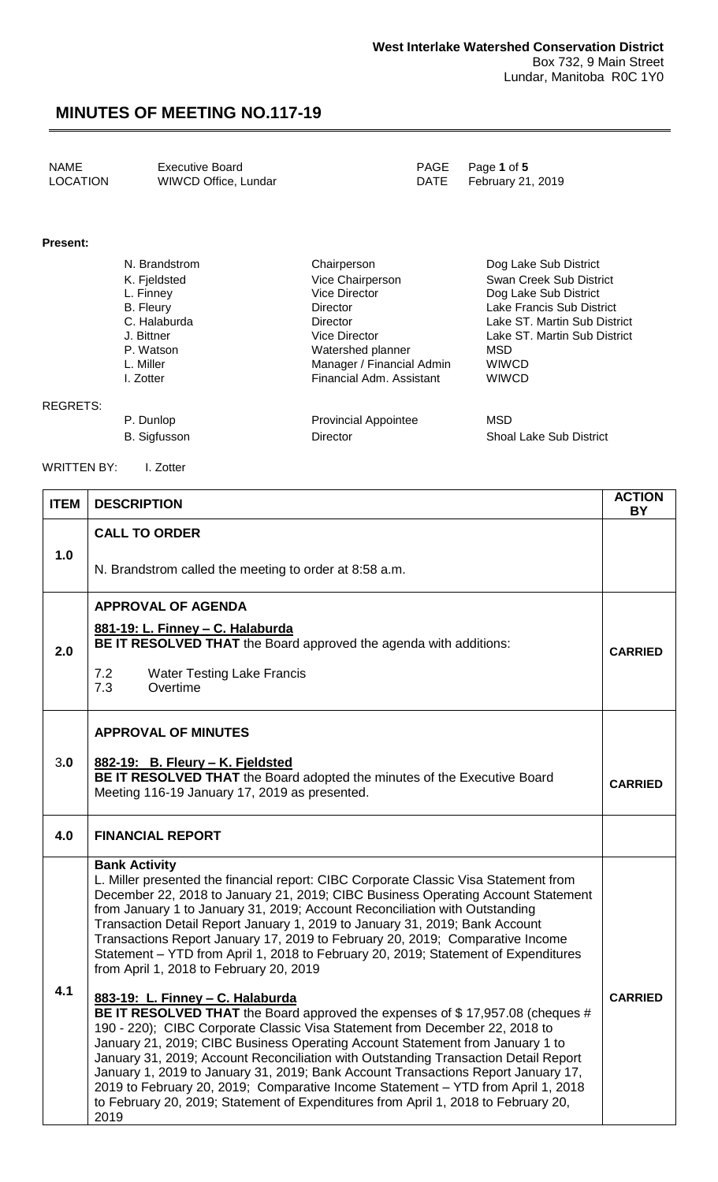| <b>LOCATION</b><br>WIWCD Office, Lundar<br>DATE February 21, 2019 | NAME | <b>Executive Board</b> |  | PAGE Page 1 of 5 |
|-------------------------------------------------------------------|------|------------------------|--|------------------|
|-------------------------------------------------------------------|------|------------------------|--|------------------|

### **Present:**

| N. Brandstrom    | Chairperson               | Dog Lake Sub District        |
|------------------|---------------------------|------------------------------|
| K. Fjeldsted     | Vice Chairperson          | Swan Creek Sub District      |
| L. Finney        | Vice Director             | Dog Lake Sub District        |
| <b>B.</b> Fleury | <b>Director</b>           | Lake Francis Sub District    |
| C. Halaburda     | <b>Director</b>           | Lake ST. Martin Sub District |
| J. Bittner       | Vice Director             | Lake ST. Martin Sub District |
| P. Watson        | Watershed planner         | MSD                          |
| L. Miller        | Manager / Financial Admin | <b>WIWCD</b>                 |
| I. Zotter        | Financial Adm. Assistant  | <b>WIWCD</b>                 |
|                  |                           |                              |

#### REGRETS:

P. Dunlop **Provincial Appointee** MSD B. Sigfusson **Director** Director Shoal Lake Sub District

WRITTEN BY: I. Zotter

| <b>ITEM</b> | <b>DESCRIPTION</b>                                                                                                                                                                                                                                                                                                                                                                                                                                                                                                                                                                                                                                                                                                                                                                                                                                                                                                                                           | <b>ACTION</b><br><b>BY</b> |
|-------------|--------------------------------------------------------------------------------------------------------------------------------------------------------------------------------------------------------------------------------------------------------------------------------------------------------------------------------------------------------------------------------------------------------------------------------------------------------------------------------------------------------------------------------------------------------------------------------------------------------------------------------------------------------------------------------------------------------------------------------------------------------------------------------------------------------------------------------------------------------------------------------------------------------------------------------------------------------------|----------------------------|
|             | <b>CALL TO ORDER</b>                                                                                                                                                                                                                                                                                                                                                                                                                                                                                                                                                                                                                                                                                                                                                                                                                                                                                                                                         |                            |
| 1.0         | N. Brandstrom called the meeting to order at 8:58 a.m.                                                                                                                                                                                                                                                                                                                                                                                                                                                                                                                                                                                                                                                                                                                                                                                                                                                                                                       |                            |
| 2.0         | <b>APPROVAL OF AGENDA</b><br>881-19: L. Finney - C. Halaburda<br>BE IT RESOLVED THAT the Board approved the agenda with additions:<br>7.2<br><b>Water Testing Lake Francis</b><br>Overtime<br>7.3                                                                                                                                                                                                                                                                                                                                                                                                                                                                                                                                                                                                                                                                                                                                                            | <b>CARRIED</b>             |
|             | <b>APPROVAL OF MINUTES</b>                                                                                                                                                                                                                                                                                                                                                                                                                                                                                                                                                                                                                                                                                                                                                                                                                                                                                                                                   |                            |
| 3.0         | 882-19: B. Fleury - K. Fjeldsted<br>BE IT RESOLVED THAT the Board adopted the minutes of the Executive Board<br>Meeting 116-19 January 17, 2019 as presented.                                                                                                                                                                                                                                                                                                                                                                                                                                                                                                                                                                                                                                                                                                                                                                                                | <b>CARRIED</b>             |
| 4.0         | <b>FINANCIAL REPORT</b>                                                                                                                                                                                                                                                                                                                                                                                                                                                                                                                                                                                                                                                                                                                                                                                                                                                                                                                                      |                            |
| 4.1         | <b>Bank Activity</b><br>L. Miller presented the financial report: CIBC Corporate Classic Visa Statement from<br>December 22, 2018 to January 21, 2019; CIBC Business Operating Account Statement<br>from January 1 to January 31, 2019; Account Reconciliation with Outstanding<br>Transaction Detail Report January 1, 2019 to January 31, 2019; Bank Account<br>Transactions Report January 17, 2019 to February 20, 2019; Comparative Income<br>Statement - YTD from April 1, 2018 to February 20, 2019; Statement of Expenditures<br>from April 1, 2018 to February 20, 2019<br>883-19: L. Finney - C. Halaburda<br>BE IT RESOLVED THAT the Board approved the expenses of \$17,957.08 (cheques #<br>190 - 220); CIBC Corporate Classic Visa Statement from December 22, 2018 to<br>January 21, 2019; CIBC Business Operating Account Statement from January 1 to<br>January 31, 2019; Account Reconciliation with Outstanding Transaction Detail Report | <b>CARRIED</b>             |
|             | January 1, 2019 to January 31, 2019; Bank Account Transactions Report January 17,<br>2019 to February 20, 2019; Comparative Income Statement - YTD from April 1, 2018<br>to February 20, 2019; Statement of Expenditures from April 1, 2018 to February 20,<br>2019                                                                                                                                                                                                                                                                                                                                                                                                                                                                                                                                                                                                                                                                                          |                            |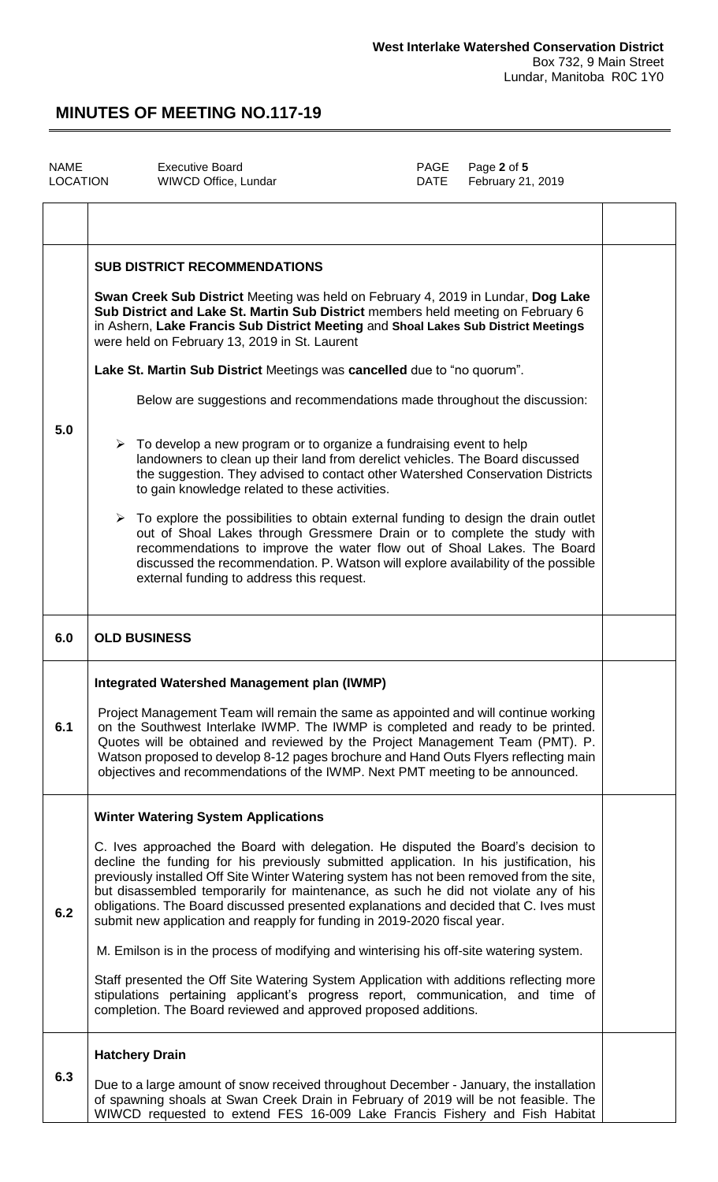| <b>NAME</b><br>LOCATION | <b>Executive Board</b><br>WIWCD Office, Lundar                                                                                                                                                                                                                                                                                                                                                                                                                                                                                                                                                                                                                                                                                                                                                                                                                                                                                                                                                                                                                                                                                                                                                                          | PAGE<br><b>DATE</b> | Page 2 of 5<br>February 21, 2019 |  |
|-------------------------|-------------------------------------------------------------------------------------------------------------------------------------------------------------------------------------------------------------------------------------------------------------------------------------------------------------------------------------------------------------------------------------------------------------------------------------------------------------------------------------------------------------------------------------------------------------------------------------------------------------------------------------------------------------------------------------------------------------------------------------------------------------------------------------------------------------------------------------------------------------------------------------------------------------------------------------------------------------------------------------------------------------------------------------------------------------------------------------------------------------------------------------------------------------------------------------------------------------------------|---------------------|----------------------------------|--|
|                         |                                                                                                                                                                                                                                                                                                                                                                                                                                                                                                                                                                                                                                                                                                                                                                                                                                                                                                                                                                                                                                                                                                                                                                                                                         |                     |                                  |  |
| 5.0                     | <b>SUB DISTRICT RECOMMENDATIONS</b><br>Swan Creek Sub District Meeting was held on February 4, 2019 in Lundar, Dog Lake<br>Sub District and Lake St. Martin Sub District members held meeting on February 6<br>in Ashern, Lake Francis Sub District Meeting and Shoal Lakes Sub District Meetings<br>were held on February 13, 2019 in St. Laurent<br>Lake St. Martin Sub District Meetings was cancelled due to "no quorum".<br>Below are suggestions and recommendations made throughout the discussion:<br>$\triangleright$ To develop a new program or to organize a fundraising event to help<br>landowners to clean up their land from derelict vehicles. The Board discussed<br>the suggestion. They advised to contact other Watershed Conservation Districts<br>to gain knowledge related to these activities.<br>$\triangleright$ To explore the possibilities to obtain external funding to design the drain outlet<br>out of Shoal Lakes through Gressmere Drain or to complete the study with<br>recommendations to improve the water flow out of Shoal Lakes. The Board<br>discussed the recommendation. P. Watson will explore availability of the possible<br>external funding to address this request. |                     |                                  |  |
| 6.0                     | <b>OLD BUSINESS</b>                                                                                                                                                                                                                                                                                                                                                                                                                                                                                                                                                                                                                                                                                                                                                                                                                                                                                                                                                                                                                                                                                                                                                                                                     |                     |                                  |  |
| 6.1                     | <b>Integrated Watershed Management plan (IWMP)</b><br>Project Management Team will remain the same as appointed and will continue working<br>on the Southwest Interlake IWMP. The IWMP is completed and ready to be printed.<br>Quotes will be obtained and reviewed by the Project Management Team (PMT). P.<br>Watson proposed to develop 8-12 pages brochure and Hand Outs Flyers reflecting main<br>objectives and recommendations of the IWMP. Next PMT meeting to be announced.                                                                                                                                                                                                                                                                                                                                                                                                                                                                                                                                                                                                                                                                                                                                   |                     |                                  |  |
| 6.2                     | <b>Winter Watering System Applications</b><br>C. Ives approached the Board with delegation. He disputed the Board's decision to<br>decline the funding for his previously submitted application. In his justification, his<br>previously installed Off Site Winter Watering system has not been removed from the site,<br>but disassembled temporarily for maintenance, as such he did not violate any of his<br>obligations. The Board discussed presented explanations and decided that C. Ives must<br>submit new application and reapply for funding in 2019-2020 fiscal year.<br>M. Emilson is in the process of modifying and winterising his off-site watering system.<br>Staff presented the Off Site Watering System Application with additions reflecting more<br>stipulations pertaining applicant's progress report, communication, and time of<br>completion. The Board reviewed and approved proposed additions.                                                                                                                                                                                                                                                                                          |                     |                                  |  |
| 6.3                     | <b>Hatchery Drain</b><br>Due to a large amount of snow received throughout December - January, the installation<br>of spawning shoals at Swan Creek Drain in February of 2019 will be not feasible. The<br>WIWCD requested to extend FES 16-009 Lake Francis Fishery and Fish Habitat                                                                                                                                                                                                                                                                                                                                                                                                                                                                                                                                                                                                                                                                                                                                                                                                                                                                                                                                   |                     |                                  |  |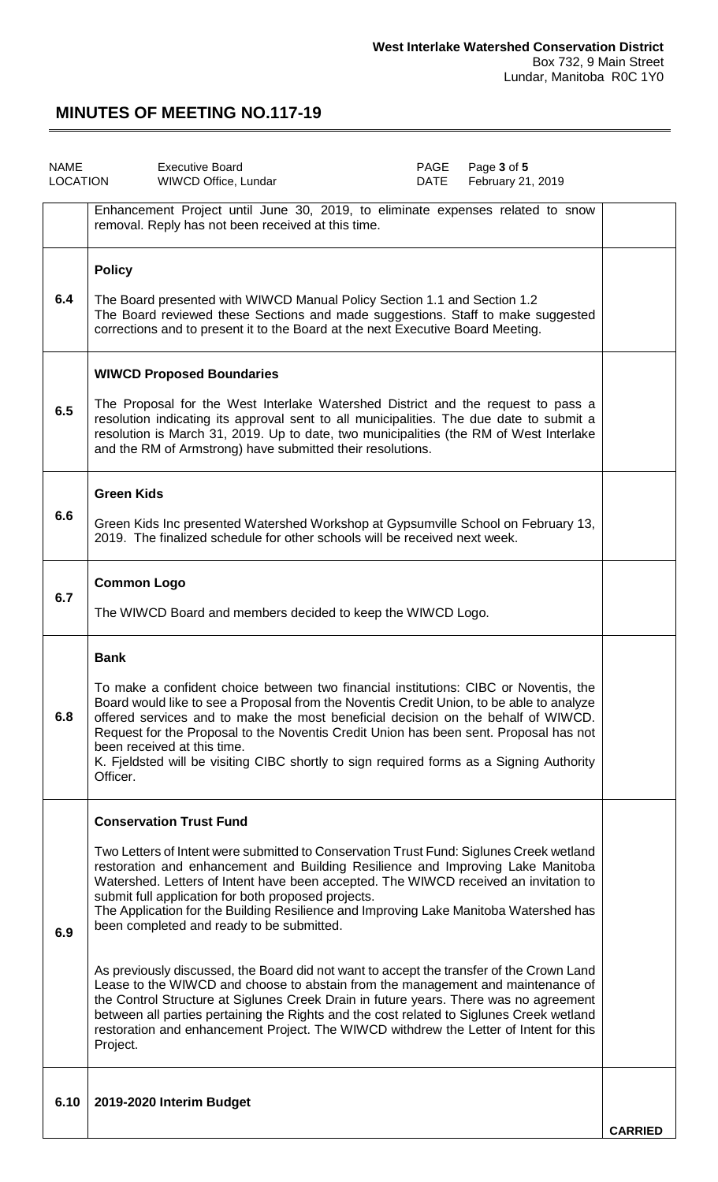| <b>NAME</b> | Page 3 of 5<br><b>Executive Board</b><br>PAGE<br>LOCATION<br>February 21, 2019<br>WIWCD Office, Lundar<br>DATE                                                                                                                                                                                                                                                                                                                                                                                                                                                                                                                                                                                                                                                                                                                                                                                                                                                             |                |
|-------------|----------------------------------------------------------------------------------------------------------------------------------------------------------------------------------------------------------------------------------------------------------------------------------------------------------------------------------------------------------------------------------------------------------------------------------------------------------------------------------------------------------------------------------------------------------------------------------------------------------------------------------------------------------------------------------------------------------------------------------------------------------------------------------------------------------------------------------------------------------------------------------------------------------------------------------------------------------------------------|----------------|
|             | Enhancement Project until June 30, 2019, to eliminate expenses related to snow<br>removal. Reply has not been received at this time.                                                                                                                                                                                                                                                                                                                                                                                                                                                                                                                                                                                                                                                                                                                                                                                                                                       |                |
| 6.4         | <b>Policy</b><br>The Board presented with WIWCD Manual Policy Section 1.1 and Section 1.2<br>The Board reviewed these Sections and made suggestions. Staff to make suggested<br>corrections and to present it to the Board at the next Executive Board Meeting.                                                                                                                                                                                                                                                                                                                                                                                                                                                                                                                                                                                                                                                                                                            |                |
| 6.5         | <b>WIWCD Proposed Boundaries</b><br>The Proposal for the West Interlake Watershed District and the request to pass a<br>resolution indicating its approval sent to all municipalities. The due date to submit a<br>resolution is March 31, 2019. Up to date, two municipalities (the RM of West Interlake<br>and the RM of Armstrong) have submitted their resolutions.                                                                                                                                                                                                                                                                                                                                                                                                                                                                                                                                                                                                    |                |
| 6.6         | <b>Green Kids</b><br>Green Kids Inc presented Watershed Workshop at Gypsumville School on February 13,<br>2019. The finalized schedule for other schools will be received next week.                                                                                                                                                                                                                                                                                                                                                                                                                                                                                                                                                                                                                                                                                                                                                                                       |                |
| 6.7         | <b>Common Logo</b><br>The WIWCD Board and members decided to keep the WIWCD Logo.                                                                                                                                                                                                                                                                                                                                                                                                                                                                                                                                                                                                                                                                                                                                                                                                                                                                                          |                |
| 6.8         | <b>Bank</b><br>To make a confident choice between two financial institutions: CIBC or Noventis, the<br>Board would like to see a Proposal from the Noventis Credit Union, to be able to analyze<br>offered services and to make the most beneficial decision on the behalf of WIWCD.<br>Request for the Proposal to the Noventis Credit Union has been sent. Proposal has not<br>been received at this time.<br>K. Fjeldsted will be visiting CIBC shortly to sign required forms as a Signing Authority<br>Officer.                                                                                                                                                                                                                                                                                                                                                                                                                                                       |                |
| 6.9         | <b>Conservation Trust Fund</b><br>Two Letters of Intent were submitted to Conservation Trust Fund: Siglunes Creek wetland<br>restoration and enhancement and Building Resilience and Improving Lake Manitoba<br>Watershed. Letters of Intent have been accepted. The WIWCD received an invitation to<br>submit full application for both proposed projects.<br>The Application for the Building Resilience and Improving Lake Manitoba Watershed has<br>been completed and ready to be submitted.<br>As previously discussed, the Board did not want to accept the transfer of the Crown Land<br>Lease to the WIWCD and choose to abstain from the management and maintenance of<br>the Control Structure at Siglunes Creek Drain in future years. There was no agreement<br>between all parties pertaining the Rights and the cost related to Siglunes Creek wetland<br>restoration and enhancement Project. The WIWCD withdrew the Letter of Intent for this<br>Project. |                |
| 6.10        | 2019-2020 Interim Budget                                                                                                                                                                                                                                                                                                                                                                                                                                                                                                                                                                                                                                                                                                                                                                                                                                                                                                                                                   | <b>CARRIED</b> |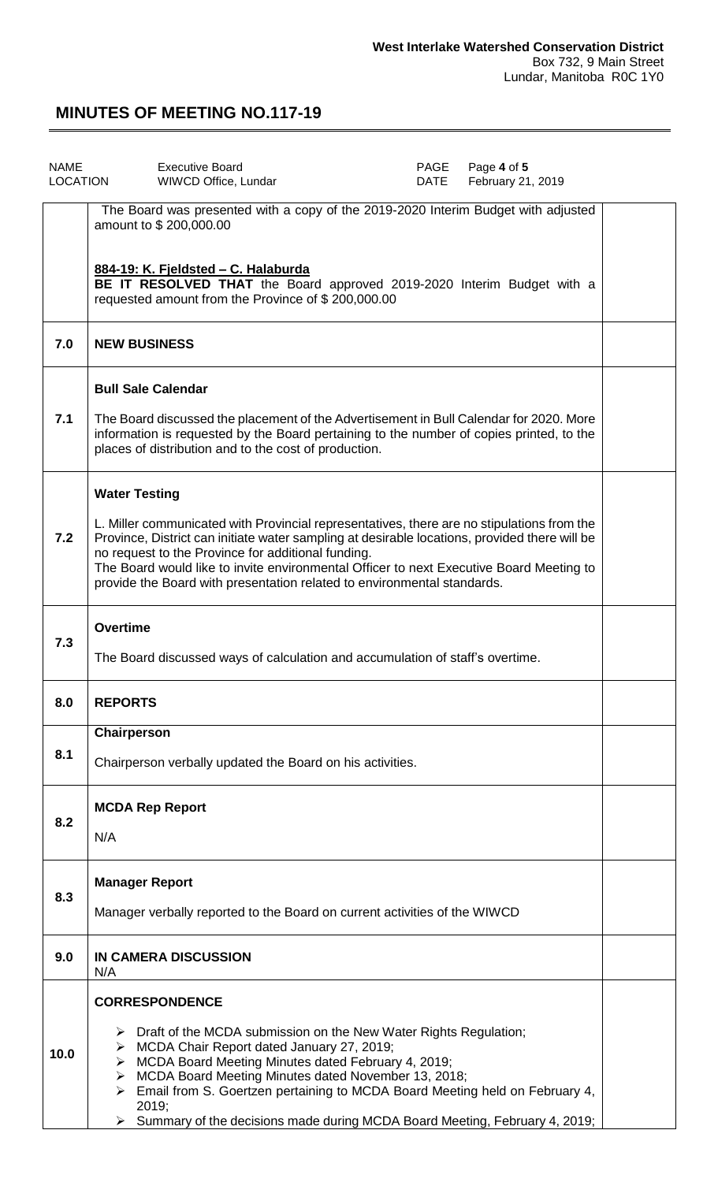| <b>NAME</b><br>LOCATION                                                       | <b>Executive Board</b><br>WIWCD Office, Lundar                                                                                                                                                                                                                                                                                                                                                                          | PAGE<br><b>DATE</b> | Page 4 of 5<br>February 21, 2019 |  |
|-------------------------------------------------------------------------------|-------------------------------------------------------------------------------------------------------------------------------------------------------------------------------------------------------------------------------------------------------------------------------------------------------------------------------------------------------------------------------------------------------------------------|---------------------|----------------------------------|--|
|                                                                               | The Board was presented with a copy of the 2019-2020 Interim Budget with adjusted<br>amount to \$200,000.00                                                                                                                                                                                                                                                                                                             |                     |                                  |  |
|                                                                               | 884-19: K. Fjeldsted - C. Halaburda<br>BE IT RESOLVED THAT the Board approved 2019-2020 Interim Budget with a<br>requested amount from the Province of \$200,000.00                                                                                                                                                                                                                                                     |                     |                                  |  |
| 7.0                                                                           | <b>NEW BUSINESS</b>                                                                                                                                                                                                                                                                                                                                                                                                     |                     |                                  |  |
|                                                                               | <b>Bull Sale Calendar</b>                                                                                                                                                                                                                                                                                                                                                                                               |                     |                                  |  |
| 7.1                                                                           | The Board discussed the placement of the Advertisement in Bull Calendar for 2020. More<br>information is requested by the Board pertaining to the number of copies printed, to the<br>places of distribution and to the cost of production.                                                                                                                                                                             |                     |                                  |  |
|                                                                               | <b>Water Testing</b>                                                                                                                                                                                                                                                                                                                                                                                                    |                     |                                  |  |
| 7.2                                                                           | L. Miller communicated with Provincial representatives, there are no stipulations from the<br>Province, District can initiate water sampling at desirable locations, provided there will be<br>no request to the Province for additional funding.<br>The Board would like to invite environmental Officer to next Executive Board Meeting to<br>provide the Board with presentation related to environmental standards. |                     |                                  |  |
| 7.3                                                                           | <b>Overtime</b>                                                                                                                                                                                                                                                                                                                                                                                                         |                     |                                  |  |
| The Board discussed ways of calculation and accumulation of staff's overtime. |                                                                                                                                                                                                                                                                                                                                                                                                                         |                     |                                  |  |
| 8.0                                                                           | <b>REPORTS</b>                                                                                                                                                                                                                                                                                                                                                                                                          |                     |                                  |  |
| 8.1                                                                           | Chairperson                                                                                                                                                                                                                                                                                                                                                                                                             |                     |                                  |  |
|                                                                               | Chairperson verbally updated the Board on his activities.                                                                                                                                                                                                                                                                                                                                                               |                     |                                  |  |
| 8.2                                                                           | <b>MCDA Rep Report</b>                                                                                                                                                                                                                                                                                                                                                                                                  |                     |                                  |  |
|                                                                               | N/A                                                                                                                                                                                                                                                                                                                                                                                                                     |                     |                                  |  |
| 8.3                                                                           | <b>Manager Report</b>                                                                                                                                                                                                                                                                                                                                                                                                   |                     |                                  |  |
|                                                                               | Manager verbally reported to the Board on current activities of the WIWCD                                                                                                                                                                                                                                                                                                                                               |                     |                                  |  |
| 9.0                                                                           | IN CAMERA DISCUSSION<br>N/A                                                                                                                                                                                                                                                                                                                                                                                             |                     |                                  |  |
|                                                                               | <b>CORRESPONDENCE</b>                                                                                                                                                                                                                                                                                                                                                                                                   |                     |                                  |  |
| 10.0                                                                          | Draft of the MCDA submission on the New Water Rights Regulation;<br>> MCDA Chair Report dated January 27, 2019;                                                                                                                                                                                                                                                                                                         |                     |                                  |  |
|                                                                               | > MCDA Board Meeting Minutes dated February 4, 2019;<br>> MCDA Board Meeting Minutes dated November 13, 2018;<br>$\triangleright$ Email from S. Goertzen pertaining to MCDA Board Meeting held on February 4,                                                                                                                                                                                                           |                     |                                  |  |
|                                                                               | 2019:<br>$\triangleright$ Summary of the decisions made during MCDA Board Meeting, February 4, 2019;                                                                                                                                                                                                                                                                                                                    |                     |                                  |  |